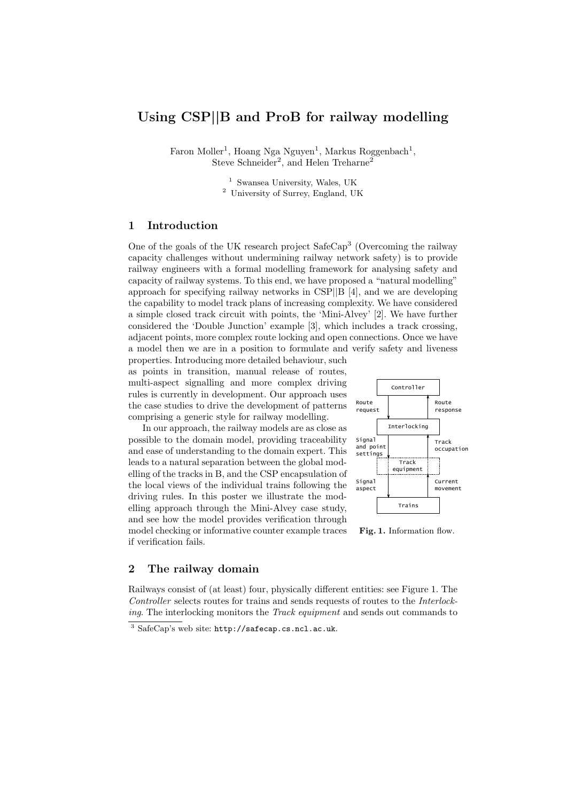# Using CSP||B and ProB for railway modelling

Faron Moller<sup>1</sup>, Hoang Nga Nguyen<sup>1</sup>, Markus Roggenbach<sup>1</sup>, Steve Schneider<sup>2</sup>, and Helen Treharne<sup>2</sup>

<sup>1</sup> Swansea University, Wales, UK

<sup>2</sup> University of Surrey, England, UK

## 1 Introduction

One of the goals of the UK research project SafeCap<sup>3</sup> (Overcoming the railway capacity challenges without undermining railway network safety) is to provide railway engineers with a formal modelling framework for analysing safety and capacity of railway systems. To this end, we have proposed a "natural modelling" approach for specifying railway networks in CSP||B [4], and we are developing the capability to model track plans of increasing complexity. We have considered a simple closed track circuit with points, the 'Mini-Alvey' [2]. We have further considered the 'Double Junction' example [3], which includes a track crossing, adjacent points, more complex route locking and open connections. Once we have a model then we are in a position to formulate and verify safety and liveness

properties. Introducing more detailed behaviour, such as points in transition, manual release of routes, multi-aspect signalling and more complex driving rules is currently in development. Our approach uses the case studies to drive the development of patterns comprising a generic style for railway modelling.

In our approach, the railway models are as close as possible to the domain model, providing traceability and ease of understanding to the domain expert. This leads to a natural separation between the global modelling of the tracks in B, and the CSP encapsulation of the local views of the individual trains following the driving rules. In this poster we illustrate the modelling approach through the Mini-Alvey case study, and see how the model provides verification through model checking or informative counter example traces if verification fails.



Fig. 1. Information flow.

### 2 The railway domain

Railways consist of (at least) four, physically different entities: see Figure 1. The Controller selects routes for trains and sends requests of routes to the Interlocking. The interlocking monitors the Track equipment and sends out commands to

<sup>3</sup> SafeCap's web site: http://safecap.cs.ncl.ac.uk.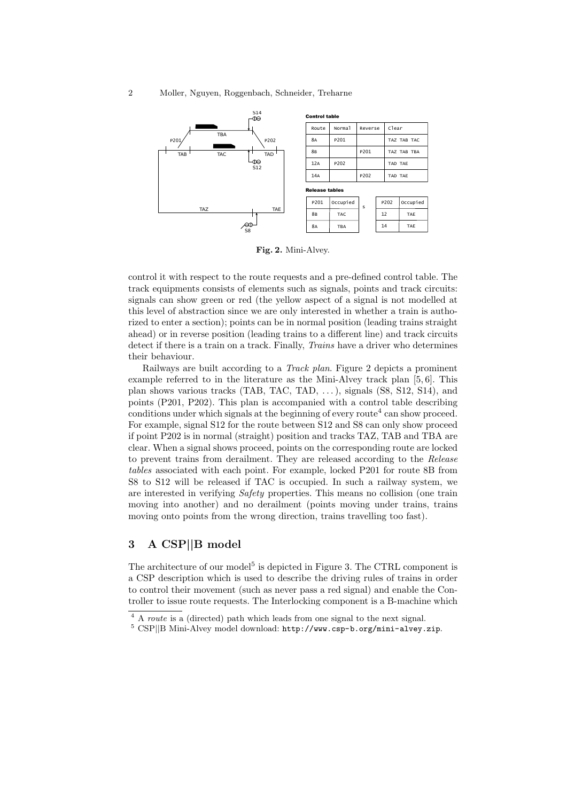

Fig. 2. Mini-Alvey.

control it with respect to the route requests and a pre-defined control table. The track equipments consists of elements such as signals, points and track circuits: signals can show green or red (the yellow aspect of a signal is not modelled at this level of abstraction since we are only interested in whether a train is authorized to enter a section); points can be in normal position (leading trains straight ahead) or in reverse position (leading trains to a different line) and track circuits detect if there is a train on a track. Finally, *Trains* have a driver who determines their behaviour.

Railways are built according to a Track plan. Figure 2 depicts a prominent example referred to in the literature as the Mini-Alvey track plan [5, 6]. This plan shows various tracks (TAB, TAC, TAD,  $\dots$ ), signals (S8, S12, S14), and points (P201, P202). This plan is accompanied with a control table describing conditions under which signals at the beginning of every route<sup>4</sup> can show proceed. For example, signal S12 for the route between S12 and S8 can only show proceed if point P202 is in normal (straight) position and tracks TAZ, TAB and TBA are clear. When a signal shows proceed, points on the corresponding route are locked to prevent trains from derailment. They are released according to the Release tables associated with each point. For example, locked P201 for route 8B from S8 to S12 will be released if TAC is occupied. In such a railway system, we are interested in verifying Safety properties. This means no collision (one train moving into another) and no derailment (points moving under trains, trains moving onto points from the wrong direction, trains travelling too fast).

## 3 A CSP||B model

The architecture of our model<sup>5</sup> is depicted in Figure 3. The CTRL component is a CSP description which is used to describe the driving rules of trains in order to control their movement (such as never pass a red signal) and enable the Controller to issue route requests. The Interlocking component is a B-machine which

<sup>4</sup> A route is a (directed) path which leads from one signal to the next signal.

<sup>5</sup> CSP||B Mini-Alvey model download: http://www.csp-b.org/mini-alvey.zip.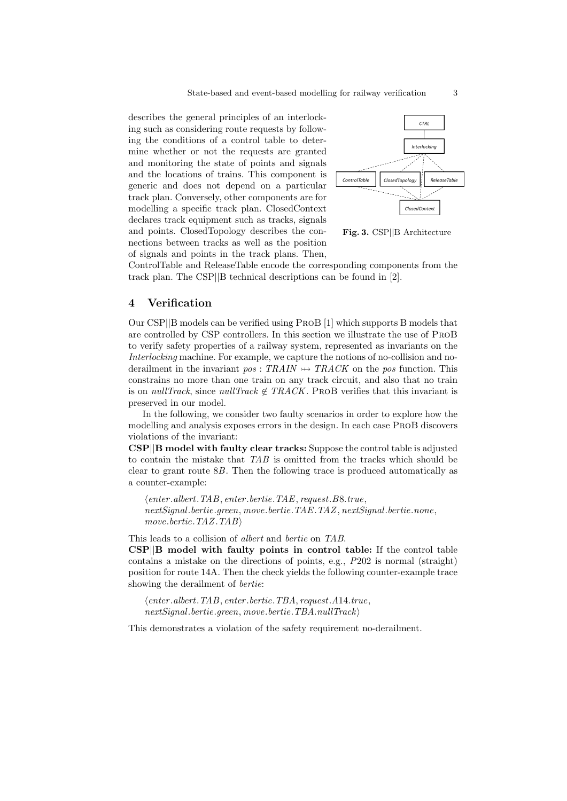describes the general principles of an interlocking such as considering route requests by following the conditions of a control table to determine whether or not the requests are granted and monitoring the state of points and signals and the locations of trains. This component is generic and does not depend on a particular track plan. Conversely, other components are for modelling a specific track plan. ClosedContext declares track equipment such as tracks, signals and points. ClosedTopology describes the connections between tracks as well as the position of signals and points in the track plans. Then,



Fig. 3. CSP||B Architecture

ControlTable and ReleaseTable encode the corresponding components from the track plan. The CSP||B technical descriptions can be found in [2].

### 4 Verification

Our CSP||B models can be verified using ProB [1] which supports B models that are controlled by CSP controllers. In this section we illustrate the use of ProB to verify safety properties of a railway system, represented as invariants on the Interlocking machine. For example, we capture the notions of no-collision and noderailment in the invariant  $pos: TRAIN \rightarrow TRACK$  on the pos function. This constrains no more than one train on any track circuit, and also that no train is on *nullTrack*, since *nullTrack*  $\notin TRACK$ . PROB verifies that this invariant is preserved in our model.

In the following, we consider two faulty scenarios in order to explore how the modelling and analysis exposes errors in the design. In each case ProB discovers violations of the invariant:

CSP||B model with faulty clear tracks: Suppose the control table is adjusted to contain the mistake that TAB is omitted from the tracks which should be clear to grant route 8B. Then the following trace is produced automatically as a counter-example:

 $\langle enter.abert. TAB, enter. bertie. TAE, request. B8. true,$ nextSignal.bertie.green, move.bertie.TAE.TAZ, nextSignal.bertie.none, move.bertie.TAZ.TAB

This leads to a collision of albert and bertie on TAB. CSP||B model with faulty points in control table: If the control table contains a mistake on the directions of points, e.g., P202 is normal (straight) position for route 14A. Then the check yields the following counter-example trace showing the derailment of *bertie*:

 $\theta$  / enter.albert.TAB, enter.bertie.TBA, request.A14.true,  $nextSignal.bertie.$ green, move.bertie.TBA.nullTrack

This demonstrates a violation of the safety requirement no-derailment.